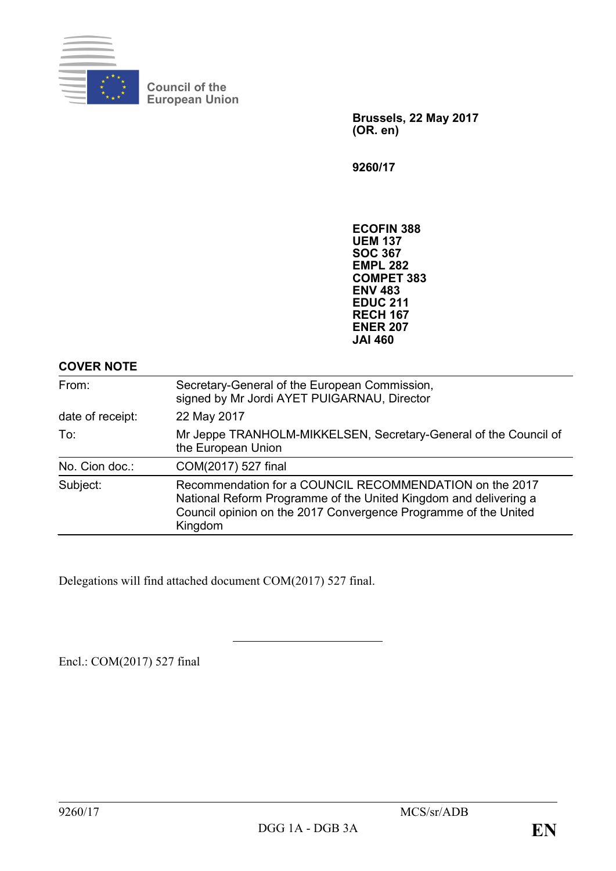

**Council of the European Union**

> **Brussels, 22 May 2017 (OR. en)**

**9260/17**

**ECOFIN 388 UEM 137 SOC 367 EMPL 282 COMPET 383 ENV 483 EDUC 211 RECH 167 ENER 207 JAI 460**

| <b>COVER NOTE</b> |                                                                                                                                                                                                           |
|-------------------|-----------------------------------------------------------------------------------------------------------------------------------------------------------------------------------------------------------|
| From:             | Secretary-General of the European Commission,<br>signed by Mr Jordi AYET PUIGARNAU, Director                                                                                                              |
| date of receipt:  | 22 May 2017                                                                                                                                                                                               |
| To:               | Mr Jeppe TRANHOLM-MIKKELSEN, Secretary-General of the Council of<br>the European Union                                                                                                                    |
| No. Cion doc.:    | COM(2017) 527 final                                                                                                                                                                                       |
| Subject:          | Recommendation for a COUNCIL RECOMMENDATION on the 2017<br>National Reform Programme of the United Kingdom and delivering a<br>Council opinion on the 2017 Convergence Programme of the United<br>Kingdom |

Delegations will find attached document COM(2017) 527 final.

Encl.: COM(2017) 527 final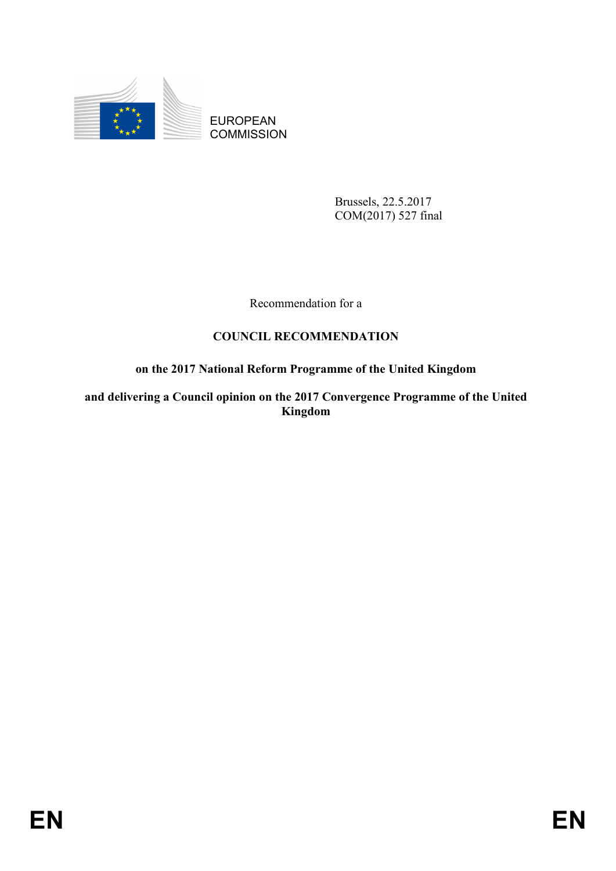

EUROPEAN **COMMISSION** 

> Brussels, 22.5.2017 COM(2017) 527 final

Recommendation for a

## **COUNCIL RECOMMENDATION**

# **on the 2017 National Reform Programme of the United Kingdom**

**and delivering a Council opinion on the 2017 Convergence Programme of the United Kingdom**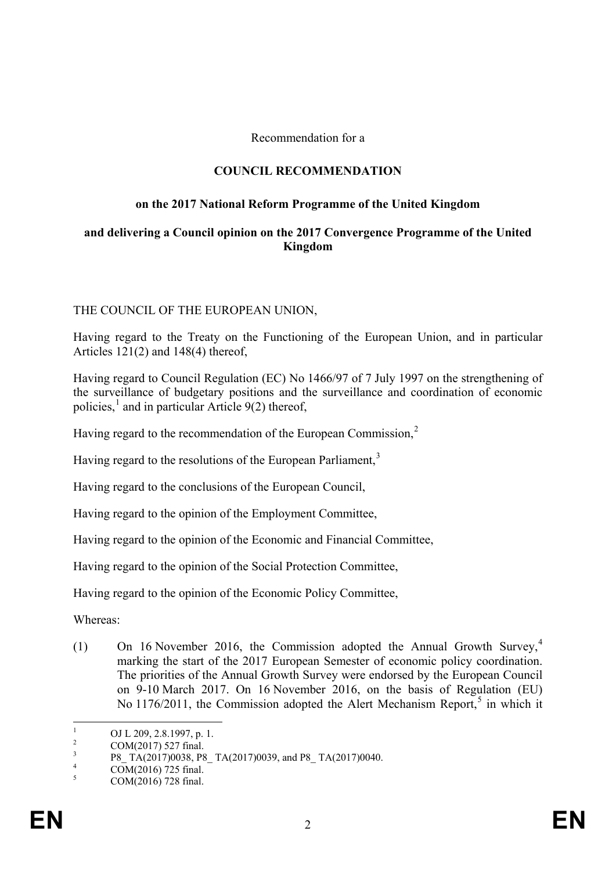Recommendation for a

### **COUNCIL RECOMMENDATION**

#### **on the 2017 National Reform Programme of the United Kingdom**

#### **and delivering a Council opinion on the 2017 Convergence Programme of the United Kingdom**

## THE COUNCIL OF THE EUROPEAN UNION,

Having regard to the Treaty on the Functioning of the European Union, and in particular Articles 121(2) and 148(4) thereof,

Having regard to Council Regulation (EC) No 1466/97 of 7 July 1997 on the strengthening of the surveillance of budgetary positions and the surveillance and coordination of economic policies, $\frac{1}{2}$  $\frac{1}{2}$  $\frac{1}{2}$  and in particular Article 9(2) thereof,

Having regard to the recommendation of the European Commission,<sup>[2](#page-2-1)</sup>

Having regard to the resolutions of the European Parliament,<sup>[3](#page-2-2)</sup>

Having regard to the conclusions of the European Council,

Having regard to the opinion of the Employment Committee,

Having regard to the opinion of the Economic and Financial Committee,

Having regard to the opinion of the Social Protection Committee,

Having regard to the opinion of the Economic Policy Committee,

Whereas:

(1) On 16 November 2016, the Commission adopted the Annual Growth Survey,[4](#page-2-3) marking the start of the 2017 European Semester of economic policy coordination. The priorities of the Annual Growth Survey were endorsed by the European Council on 9-10 March 2017. On 16 November 2016, on the basis of Regulation (EU) No  $1176/2011$ , the Commission adopted the Alert Mechanism Report,<sup>[5](#page-2-4)</sup> in which it

<span id="page-2-1"></span><span id="page-2-0"></span><sup>&</sup>lt;sup>1</sup> OJ L 209, 2.8.1997, p. 1.<br>
<sup>2</sup> COM(2017) 527 final.<br>
<sup>3</sup> P8\_ TA(2017)0038, P8\_ TA(2017)0039, and P8\_ TA(2017)0040.<br>
<sup>4</sup> COM(2016) 728 final.<br>
COM(2016) 728 final.

<span id="page-2-3"></span><span id="page-2-2"></span>

<span id="page-2-4"></span>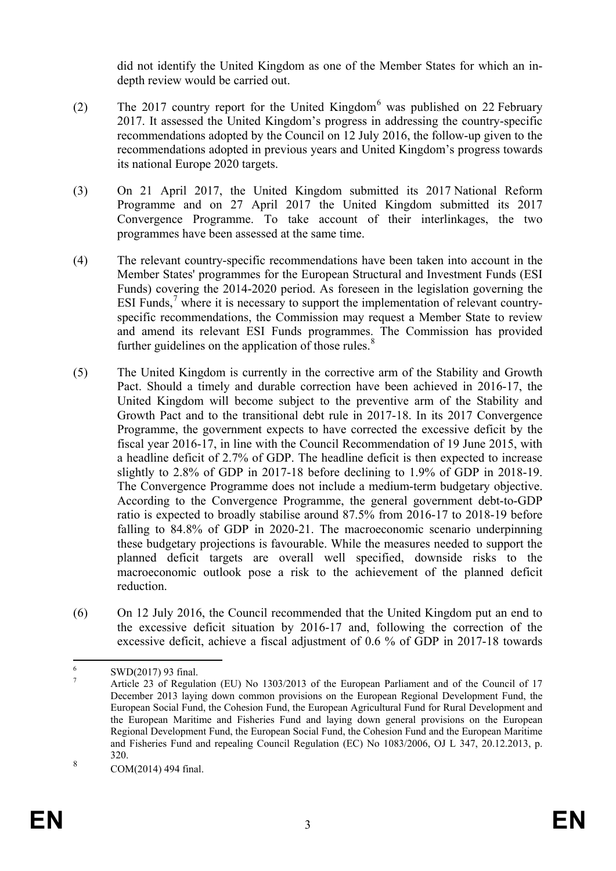did not identify the United Kingdom as one of the Member States for which an indepth review would be carried out.

- (2) The 2017 country report for the United Kingdom<sup>[6](#page-3-0)</sup> was published on 22 February 2017. It assessed the United Kingdom's progress in addressing the country-specific recommendations adopted by the Council on 12 July 2016, the follow-up given to the recommendations adopted in previous years and United Kingdom's progress towards its national Europe 2020 targets.
- (3) On 21 April 2017, the United Kingdom submitted its 2017 National Reform Programme and on 27 April 2017 the United Kingdom submitted its 2017 Convergence Programme. To take account of their interlinkages, the two programmes have been assessed at the same time.
- (4) The relevant country-specific recommendations have been taken into account in the Member States' programmes for the European Structural and Investment Funds (ESI Funds) covering the 2014-2020 period. As foreseen in the legislation governing the ESI Funds,<sup>[7](#page-3-1)</sup> where it is necessary to support the implementation of relevant countryspecific recommendations, the Commission may request a Member State to review and amend its relevant ESI Funds programmes. The Commission has provided further guidelines on the application of those rules. $8$
- (5) The United Kingdom is currently in the corrective arm of the Stability and Growth Pact. Should a timely and durable correction have been achieved in 2016-17, the United Kingdom will become subject to the preventive arm of the Stability and Growth Pact and to the transitional debt rule in 2017-18. In its 2017 Convergence Programme, the government expects to have corrected the excessive deficit by the fiscal year 2016-17, in line with the Council Recommendation of 19 June 2015, with a headline deficit of 2.7% of GDP. The headline deficit is then expected to increase slightly to 2.8% of GDP in 2017-18 before declining to 1.9% of GDP in 2018-19. The Convergence Programme does not include a medium-term budgetary objective. According to the Convergence Programme, the general government debt-to-GDP ratio is expected to broadly stabilise around 87.5% from 2016-17 to 2018-19 before falling to 84.8% of GDP in 2020-21. The macroeconomic scenario underpinning these budgetary projections is favourable. While the measures needed to support the planned deficit targets are overall well specified, downside risks to the macroeconomic outlook pose a risk to the achievement of the planned deficit reduction.
- (6) On 12 July 2016, the Council recommended that the United Kingdom put an end to the excessive deficit situation by 2016-17 and, following the correction of the excessive deficit, achieve a fiscal adjustment of 0.6 % of GDP in 2017-18 towards

<span id="page-3-1"></span><span id="page-3-0"></span><sup>&</sup>lt;sup>6</sup> SWD(2017) 93 final.<br><sup>7</sup> Article 23 of Regulation (EU) No 1303/2013 of the European Parliament and of the Council of 17 December 2013 laying down common provisions on the European Regional Development Fund, the European Social Fund, the Cohesion Fund, the European Agricultural Fund for Rural Development and the European Maritime and Fisheries Fund and laying down general provisions on the European Regional Development Fund, the European Social Fund, the Cohesion Fund and the European Maritime and Fisheries Fund and repealing Council Regulation (EC) No 1083/2006, OJ L 347, 20.12.2013, p. 320.

<span id="page-3-2"></span> $8 \text{ COM}(2014)$  494 final.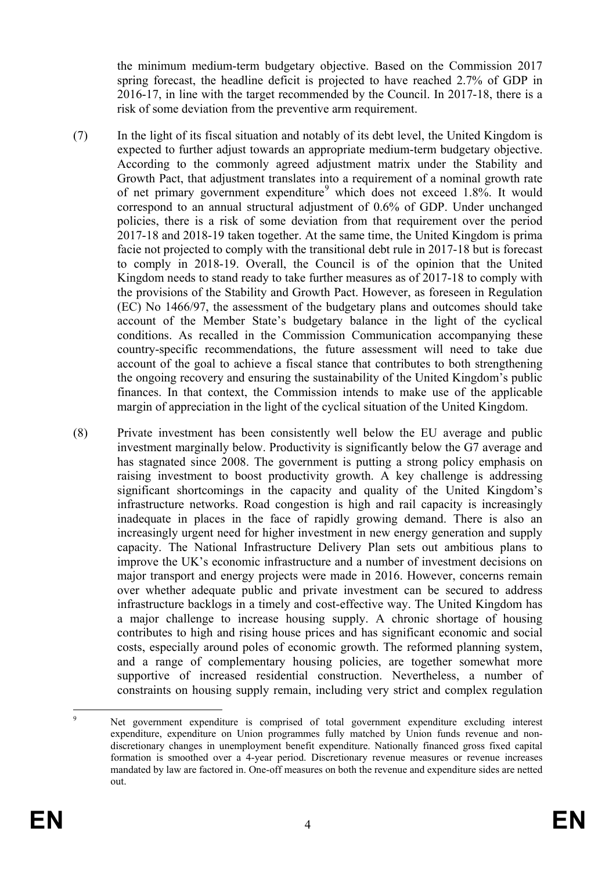the minimum medium-term budgetary objective. Based on the Commission 2017 spring forecast, the headline deficit is projected to have reached 2.7% of GDP in 2016-17, in line with the target recommended by the Council. In 2017-18, there is a risk of some deviation from the preventive arm requirement.

- (7) In the light of its fiscal situation and notably of its debt level, the United Kingdom is expected to further adjust towards an appropriate medium-term budgetary objective. According to the commonly agreed adjustment matrix under the Stability and Growth Pact, that adjustment translates into a requirement of a nominal growth rate of net primary government expenditure<sup>[9](#page-4-0)</sup> which does not exceed 1.8%. It would correspond to an annual structural adjustment of 0.6% of GDP. Under unchanged policies, there is a risk of some deviation from that requirement over the period 2017-18 and 2018-19 taken together. At the same time, the United Kingdom is prima facie not projected to comply with the transitional debt rule in 2017-18 but is forecast to comply in 2018-19. Overall, the Council is of the opinion that the United Kingdom needs to stand ready to take further measures as of 2017-18 to comply with the provisions of the Stability and Growth Pact. However, as foreseen in Regulation (EC) No 1466/97, the assessment of the budgetary plans and outcomes should take account of the Member State's budgetary balance in the light of the cyclical conditions. As recalled in the Commission Communication accompanying these country-specific recommendations, the future assessment will need to take due account of the goal to achieve a fiscal stance that contributes to both strengthening the ongoing recovery and ensuring the sustainability of the United Kingdom's public finances. In that context, the Commission intends to make use of the applicable margin of appreciation in the light of the cyclical situation of the United Kingdom.
- (8) Private investment has been consistently well below the EU average and public investment marginally below. Productivity is significantly below the G7 average and has stagnated since 2008. The government is putting a strong policy emphasis on raising investment to boost productivity growth. A key challenge is addressing significant shortcomings in the capacity and quality of the United Kingdom's infrastructure networks. Road congestion is high and rail capacity is increasingly inadequate in places in the face of rapidly growing demand. There is also an increasingly urgent need for higher investment in new energy generation and supply capacity. The National Infrastructure Delivery Plan sets out ambitious plans to improve the UK's economic infrastructure and a number of investment decisions on major transport and energy projects were made in 2016. However, concerns remain over whether adequate public and private investment can be secured to address infrastructure backlogs in a timely and cost-effective way. The United Kingdom has a major challenge to increase housing supply. A chronic shortage of housing contributes to high and rising house prices and has significant economic and social costs, especially around poles of economic growth. The reformed planning system, and a range of complementary housing policies, are together somewhat more supportive of increased residential construction. Nevertheless, a number of constraints on housing supply remain, including very strict and complex regulation

<span id="page-4-0"></span><sup>&</sup>lt;sup>9</sup> Net government expenditure is comprised of total government expenditure excluding interest expenditure, expenditure on Union programmes fully matched by Union funds revenue and nondiscretionary changes in unemployment benefit expenditure. Nationally financed gross fixed capital formation is smoothed over a 4-year period. Discretionary revenue measures or revenue increases mandated by law are factored in. One-off measures on both the revenue and expenditure sides are netted out.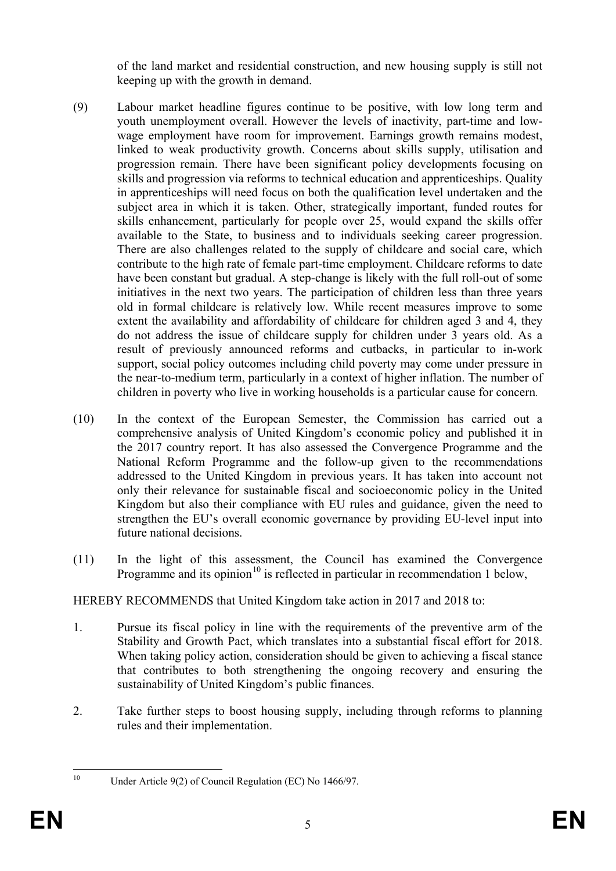of the land market and residential construction, and new housing supply is still not keeping up with the growth in demand.

- (9) Labour market headline figures continue to be positive, with low long term and youth unemployment overall. However the levels of inactivity, part-time and lowwage employment have room for improvement. Earnings growth remains modest, linked to weak productivity growth. Concerns about skills supply, utilisation and progression remain. There have been significant policy developments focusing on skills and progression via reforms to technical education and apprenticeships. Quality in apprenticeships will need focus on both the qualification level undertaken and the subject area in which it is taken. Other, strategically important, funded routes for skills enhancement, particularly for people over 25, would expand the skills offer available to the State, to business and to individuals seeking career progression. There are also challenges related to the supply of childcare and social care, which contribute to the high rate of female part-time employment. Childcare reforms to date have been constant but gradual. A step-change is likely with the full roll-out of some initiatives in the next two years. The participation of children less than three years old in formal childcare is relatively low. While recent measures improve to some extent the availability and affordability of childcare for children aged 3 and 4, they do not address the issue of childcare supply for children under 3 years old. As a result of previously announced reforms and cutbacks, in particular to in-work support, social policy outcomes including child poverty may come under pressure in the near-to-medium term, particularly in a context of higher inflation. The number of children in poverty who live in working households is a particular cause for concern.
- (10) In the context of the European Semester, the Commission has carried out a comprehensive analysis of United Kingdom's economic policy and published it in the 2017 country report. It has also assessed the Convergence Programme and the National Reform Programme and the follow-up given to the recommendations addressed to the United Kingdom in previous years. It has taken into account not only their relevance for sustainable fiscal and socioeconomic policy in the United Kingdom but also their compliance with EU rules and guidance, given the need to strengthen the EU's overall economic governance by providing EU-level input into future national decisions.
- (11) In the light of this assessment, the Council has examined the Convergence Programme and its opinion<sup>[10](#page-5-0)</sup> is reflected in particular in recommendation 1 below.

# HEREBY RECOMMENDS that United Kingdom take action in 2017 and 2018 to:

- 1. Pursue its fiscal policy in line with the requirements of the preventive arm of the Stability and Growth Pact, which translates into a substantial fiscal effort for 2018. When taking policy action, consideration should be given to achieving a fiscal stance that contributes to both strengthening the ongoing recovery and ensuring the sustainability of United Kingdom's public finances.
- 2. Take further steps to boost housing supply, including through reforms to planning rules and their implementation.

<span id="page-5-0"></span>

<sup>&</sup>lt;sup>10</sup> Under Article 9(2) of Council Regulation (EC) No 1466/97.